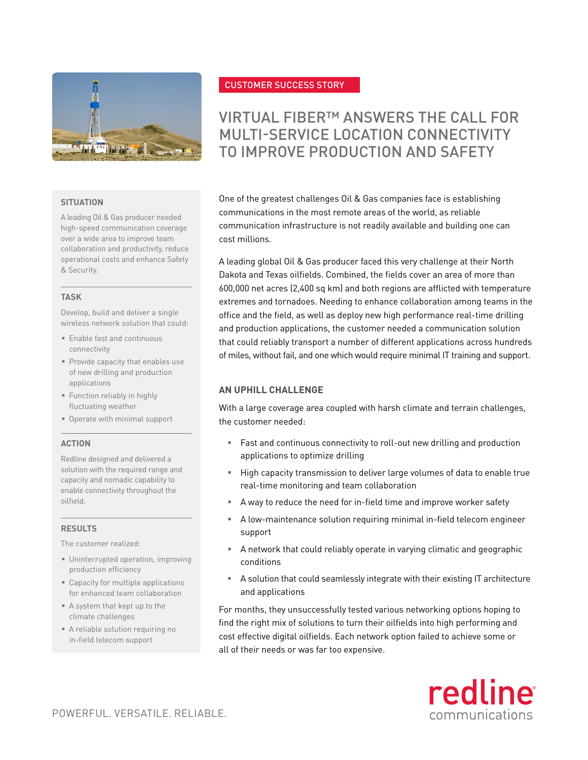

## **SITUATION**

A leading Oil & Gas producer needed high-speed communication coverage over a wide area to improve team collaboration and productivity, reduce operational costs and enhance Safety & Security.

#### **TASK**

Develop, build and deliver a single wireless network solution that could:

- § Enable fast and continuous connectivity
- § Provide capacity that enables use of new drilling and production applications
- § Function reliably in highly fluctuating weather
- § Operate with minimal support

## **ACTION**

Redline designed and delivered a solution with the required range and capacity and nomadic capability to enable connectivity throughout the oilfield.

## **RESULTS**

The customer realized:

- § Uninterrupted operation, improving production efficiency
- Capacity for multiple applications for enhanced team collaboration
- § A system that kept up to the climate challenges
- § A reliable solution requiring no in-field telecom support

# CUSTOMER SUCCESS STORY

# VIRTUAL FIBER™ ANSWERS THE CALL FOR MULTI-SERVICE LOCATION CONNECTIVITY TO IMPROVE PRODUCTION AND SAFETY

One of the greatest challenges Oil & Gas companies face is establishing communications in the most remote areas of the world, as reliable communication infrastructure is not readily available and building one can cost millions.

A leading global Oil & Gas producer faced this very challenge at their North Dakota and Texas oilfields. Combined, the fields cover an area of more than 600,000 net acres (2,400 sq km) and both regions are afflicted with temperature extremes and tornadoes. Needing to enhance collaboration among teams in the office and the field, as well as deploy new high performance real-time drilling and production applications, the customer needed a communication solution that could reliably transport a number of different applications across hundreds of miles, without fail, and one which would require minimal IT training and support.

## **AN UPHILL CHALLENGE**

With a large coverage area coupled with harsh climate and terrain challenges, the customer needed:

- Fast and continuous connectivity to roll-out new drilling and production applications to optimize drilling
- High capacity transmission to deliver large volumes of data to enable true real-time monitoring and team collaboration
- § A way to reduce the need for in-field time and improve worker safety
- A low-maintenance solution requiring minimal in-field telecom engineer support
- § A network that could reliably operate in varying climatic and geographic conditions
- A solution that could seamlessly integrate with their existing IT architecture and applications

For months, they unsuccessfully tested various networking options hoping to find the right mix of solutions to turn their oilfields into high performing and cost effective digital oilfields. Each network option failed to achieve some or all of their needs or was far too expensive.